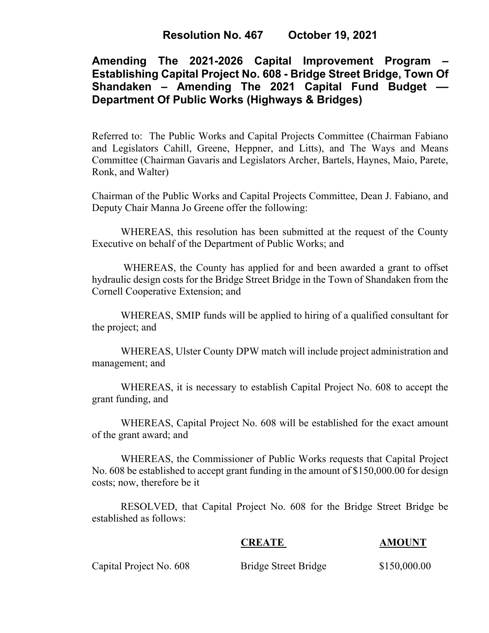# **Resolution No. 467 October 19, 2021**

# **Amending The 2021-2026 Capital Improvement Program – Establishing Capital Project No. 608 - Bridge Street Bridge, Town Of Shandaken – Amending The 2021 Capital Fund Budget –– Department Of Public Works (Highways & Bridges)**

Referred to: The Public Works and Capital Projects Committee (Chairman Fabiano and Legislators Cahill, Greene, Heppner, and Litts), and The Ways and Means Committee (Chairman Gavaris and Legislators Archer, Bartels, Haynes, Maio, Parete, Ronk, and Walter)

Chairman of the Public Works and Capital Projects Committee, Dean J. Fabiano, and Deputy Chair Manna Jo Greene offer the following:

WHEREAS, this resolution has been submitted at the request of the County Executive on behalf of the Department of Public Works; and

WHEREAS, the County has applied for and been awarded a grant to offset hydraulic design costs for the Bridge Street Bridge in the Town of Shandaken from the Cornell Cooperative Extension; and

WHEREAS, SMIP funds will be applied to hiring of a qualified consultant for the project; and

WHEREAS, Ulster County DPW match will include project administration and management; and

WHEREAS, it is necessary to establish Capital Project No. 608 to accept the grant funding, and

WHEREAS, Capital Project No. 608 will be established for the exact amount of the grant award; and

WHEREAS, the Commissioner of Public Works requests that Capital Project No. 608 be established to accept grant funding in the amount of \$150,000.00 for design costs; now, therefore be it

RESOLVED, that Capital Project No. 608 for the Bridge Street Bridge be established as follows:

#### **CREATE AMOUNT**

Capital Project No. 608 Bridge Street Bridge \$150,000.00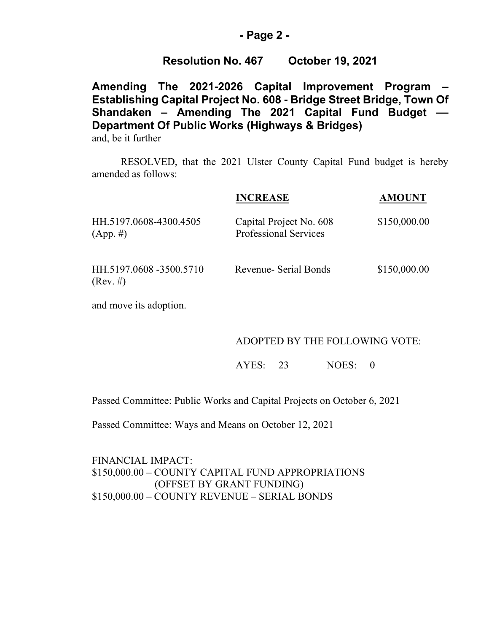### **- Page 2 -**

## **Resolution No. 467 October 19, 2021**

**Amending The 2021-2026 Capital Improvement Program – Establishing Capital Project No. 608 - Bridge Street Bridge, Town Of Shandaken – Amending The 2021 Capital Fund Budget –– Department Of Public Works (Highways & Bridges)**

and, be it further

RESOLVED, that the 2021 Ulster County Capital Fund budget is hereby amended as follows:

|                                       | <b>INCREASE</b>                                         | <b>AMOUNT</b> |
|---------------------------------------|---------------------------------------------------------|---------------|
| HH.5197.0608-4300.4505<br>$(App. \#)$ | Capital Project No. 608<br><b>Professional Services</b> | \$150,000.00  |
| HH.5197.0608 -3500.5710<br>(Rev. #)   | Revenue- Serial Bonds                                   | \$150,000.00  |

and move its adoption.

#### ADOPTED BY THE FOLLOWING VOTE:

AYES: 23 NOES: 0

Passed Committee: Public Works and Capital Projects on October 6, 2021

Passed Committee: Ways and Means on October 12, 2021

FINANCIAL IMPACT: \$150,000.00 – COUNTY CAPITAL FUND APPROPRIATIONS (OFFSET BY GRANT FUNDING) \$150,000.00 – COUNTY REVENUE – SERIAL BONDS